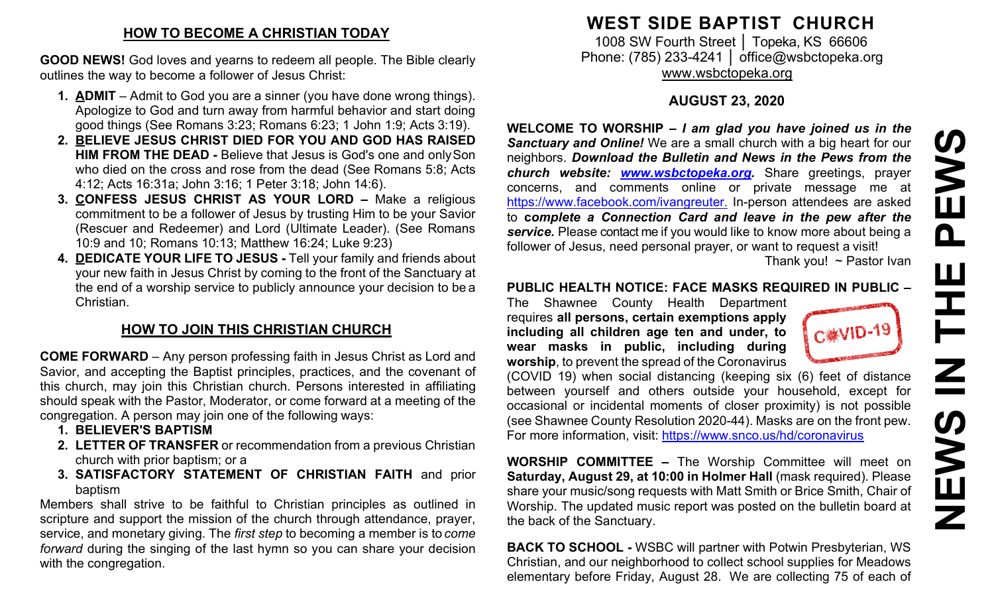### **HOW TO BECOME A CHRISTIAN TODAY**

**GOOD NEWS!** God loves and yearns to redeem all people. The Bible clearly outlines the way to become a follower of Jesus Christ:

- **1. ADMIT**  Admit to God you are a sinner (you have done wrong things). Apologize to God and turn away from harmful behavior and start doing good things (See Romans 3:23; Romans 6:23; 1 John 1:9; Acts 3:19).
- **2. BELIEVE JESUS CHRIST DIED FOR YOU AND GOD HAS RAISED HIM FROM THE DEAD -** Believe that Jesus is God's one and onlySon who died on the cross and rose from the dead (See Romans 5:8; Acts 4:12; Acts 16:31a; John 3:16; 1 Peter 3:18; John 14:6).
- **3. CONFESS JESUS CHRIST AS YOUR LORD –** Make a religious commitment to be a follower of Jesus by trusting Him to be your Savior (Rescuer and Redeemer) and Lord (Ultimate Leader). (See Romans 10:9 and 10; Romans 10:13; Matthew 16:24; Luke 9:23)
- **4. DEDICATE YOUR LIFE TO JESUS -** Tell your family and friends about your new faith in Jesus Christ by coming to the front of the Sanctuary at the end of a worship service to publicly announce your decision to be a Christian.

# **HOW TO JOIN THIS CHRISTIAN CHURCH**

**COME FORWARD** – Any person professing faith in Jesus Christ as Lord and Savior, and accepting the Baptist principles, practices, and the covenant of this church, may join this Christian church. Persons interested in affiliating should speak with the Pastor, Moderator, or come forward at a meeting of the congregation. A person may join one of the following ways:

- **1. BELIEVER'S BAPTISM**
- **2. LETTER OF TRANSFER** or recommendation from a previous Christian church with prior baptism; or a
- **3. SATISFACTORY STATEMENT OF CHRISTIAN FAITH** and prior baptism

Members shall strive to be faithful to Christian principles as outlined in scripture and support the mission of the church through attendance, prayer, service, and monetary giving. The *first step* to becoming a member is to *come forward* during the singing of the last hymn so you can share your decision with the congregation.

# **WEST SIDE BAPTIST CHURCH**

1008 SW Fourth Street | Topeka, KS 66606 Phone: (785) 233-4241 │ [office@wsbctopeka.org](mailto:office@wsbctopeka.org) [www.wsbctopeka.org](http://www.wsbctopeka.org/)

### **AUGUST 23, 2020**

**WELCOME TO WORSHIP –** *I am glad you have joined us in the Sanctuary and Online!* We are a small church with a big heart for our neighbors. *Download the Bulletin and News in the Pews from the church website: [www.wsbctopeka.org.](http://www.wsbctopeka.org/)* Share greetings, prayer concerns, and comments online or private message me at <https://www.facebook.com/ivangreuter.> In-person attendees are asked to **c***omplete a Connection Card and leave in the pew after the service.* Please contact me if you would like to know more about being a follower of Jesus, need personal prayer, or want to request a visit! Thank you!  $\sim$  Pastor Ivan

#### **PUBLIC HEALTH NOTICE: FACE MASKS REQUIRED IN PUBLIC –**

The Shawnee County Health Department requires **all persons, certain exemptions apply including all children age ten and under, to wear masks in public, including during worship**, to prevent the spread of the Coronavirus



(COVID 19) when social distancing (keeping six (6) feet of distance between yourself and others outside your household, except for occasional or incidental moments of closer proximity) is not possible (see Shawnee County Resolution 2020-44). Masks are on the front pew. For more information, visit:<https://www.snco.us/hd/coronavirus>

**WORSHIP COMMITTEE –** The Worship Committee will meet on **Saturday, August 29, at 10:00 in Holmer Hall** (mask required). Please share your music/song requests with Matt Smith or Brice Smith, Chair of Worship. The updated music report was posted on the bulletin board at the back of the Sanctuary.

**BACK TO SCHOOL -** WSBC will partner with Potwin Presbyterian, WS Christian, and our neighborhood to collect school supplies for Meadows elementary before Friday, August 28. We are collecting 75 of each of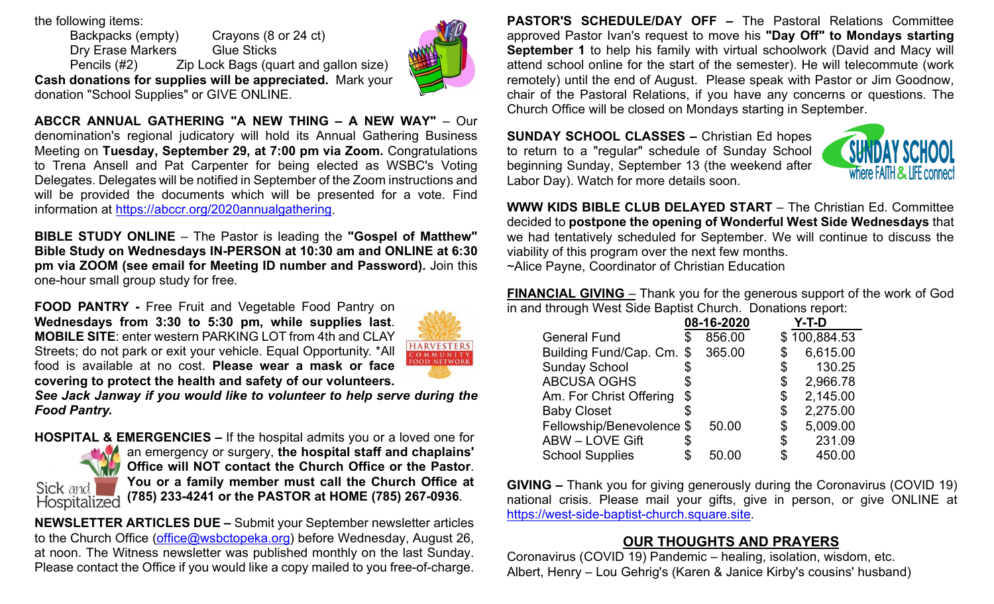the following items:

donation "School Supplies" or GIVE ONLINE.

Backpacks (empty) Crayons (8 or 24 ct)<br>Drv Erase Markers Glue Sticks Dry Erase Markers

Pencils (#2) Zip Lock Bags (quart and gallon size) **Cash donations for supplies will be appreciated.** Mark your



**ABCCR ANNUAL GATHERING "A NEW THING – A NEW WAY"** – Our denomination's regional judicatory will hold its Annual Gathering Business Meeting on **Tuesday, September 29, at 7:00 pm via Zoom.** Congratulations to Trena Ansell and Pat Carpenter for being elected as WSBC's Voting Delegates. Delegates will be notified in September of the Zoom instructions and will be provided the documents which will be presented for a vote. Find information at [https://abccr.org/2020annualgathering.](https://abccr.org/2020annualgathering)

**BIBLE STUDY ONLINE** – The Pastor is leading the **"Gospel of Matthew" Bible Study on Wednesdays IN-PERSON at 10:30 am and ONLINE at 6:30 pm via ZOOM (see email for Meeting ID number and Password).** Join this one-hour small group study for free.

**FOOD PANTRY -** Free Fruit and Vegetable Food Pantry on **Wednesdays from 3:30 to 5:30 pm, while supplies last**. **MOBILE SITE**: enter western PARKING LOT from 4th and CLAY Streets; do not park or exit your vehicle. Equal Opportunity. \*All food is available at no cost. **Please wear a mask or face covering to protect the health and safety of our volunteers.**



*See Jack Janway if you would like to volunteer to help serve during the Food Pantry.* 

**HOSPITAL & EMERGENCIES –** If the hospital admits you or a loved one for an emergency or surgery, **the hospital staff and chaplains' Office will NOT contact the Church Office or the Pastor**. **You or a family member must call the Church Office at**  Sick and **(785) 233-4241 or the PASTOR at HOME (785) 267-0936**. Hospitalized

**NEWSLETTER ARTICLES DUE –** Submit your September newsletter articles to the Church Office [\(office@wsbctopeka.org\)](mailto:office@wsbctopeka.org) before Wednesday, August 26, at noon. The Witness newsletter was published monthly on the last Sunday. Please contact the Office if you would like a copy mailed to you free-of-charge.

**PASTOR'S SCHEDULE/DAY OFF –** The Pastoral Relations Committee approved Pastor Ivan's request to move his **"Day Off" to Mondays starting September 1** to help his family with virtual schoolwork (David and Macy will attend school online for the start of the semester). He will telecommute (work remotely) until the end of August. Please speak with Pastor or Jim Goodnow, chair of the Pastoral Relations, if you have any concerns or questions. The Church Office will be closed on Mondays starting in September.

**SUNDAY SCHOOL CLASSES –** Christian Ed hopes to return to a "regular" schedule of Sunday School beginning Sunday, September 13 (the weekend after Labor Day). Watch for more details soon.



**WWW KIDS BIBLE CLUB DELAYED START** – The Christian Ed. Committee decided to **postpone the opening of Wonderful West Side Wednesdays** that we had tentatively scheduled for September. We will continue to discuss the viability of this program over the next few months. ~Alice Payne, Coordinator of Christian Education

**FINANCIAL GIVING** – Thank you for the generous support of the work of God in and through West Side Baptist Church. Donations report:

|                           | 08-16-2020   | Y-T-D          |
|---------------------------|--------------|----------------|
| <b>General Fund</b>       | \$<br>856.00 | \$100,884.53   |
| Building Fund/Cap. Cm.    | \$<br>365.00 | \$<br>6,615.00 |
| <b>Sunday School</b>      |              | \$<br>130.25   |
| <b>ABCUSA OGHS</b>        | \$           | \$<br>2,966.78 |
| Am. For Christ Offering   | \$           | \$<br>2,145.00 |
| <b>Baby Closet</b>        |              | \$<br>2,275.00 |
| Fellowship/Benevolence \$ | 50.00        | \$<br>5,009.00 |
| <b>ABW - LOVE Gift</b>    |              | \$<br>231.09   |
| <b>School Supplies</b>    | 50.00        | \$<br>450.00   |

**GIVING –** Thank you for giving generously during the Coronavirus (COVID 19) national crisis. Please mail your gifts, give in person, or give ONLINE at [https://west-side-baptist-church.square.site.](https://west-side-baptist-church.square.site/)

## **OUR THOUGHTS AND PRAYERS**

Coronavirus (COVID 19) Pandemic – healing, isolation, wisdom, etc. Albert, Henry – Lou Gehrig's (Karen & Janice Kirby's cousins' husband)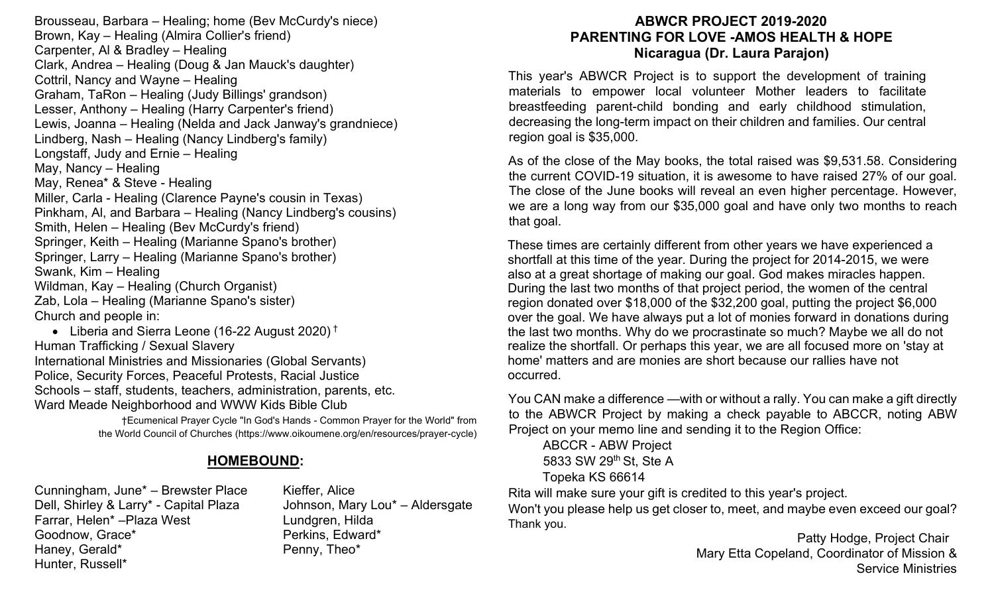Brousseau, Barbara – Healing; home (Bev McCurdy's niece) Brown, Kay – Healing (Almira Collier's friend) Carpenter, Al & Bradley – Healing Clark, Andrea – Healing (Doug & Jan Mauck's daughter) Cottril, Nancy and Wayne – Healing Graham, TaRon – Healing (Judy Billings' grandson) Lesser, Anthony – Healing (Harry Carpenter's friend) Lewis, Joanna – Healing (Nelda and Jack Janway's grandniece) Lindberg, Nash – Healing (Nancy Lindberg's family) Longstaff, Judy and Ernie – Healing May, Nancy – Healing May, Renea\* & Steve - Healing Miller, Carla - Healing (Clarence Payne's cousin in Texas) Pinkham, Al, and Barbara – Healing (Nancy Lindberg's cousins) Smith, Helen – Healing (Bev McCurdy's friend) Springer, Keith – Healing (Marianne Spano's brother) Springer, Larry – Healing (Marianne Spano's brother) Swank, Kim – Healing Wildman, Kay – Healing (Church Organist) Zab, Lola – Healing (Marianne Spano's sister) Church and people in:

• Liberia and Sierra Leone (16-22 August 2020)<sup>†</sup> Human Trafficking / Sexual Slavery International Ministries and Missionaries (Global Servants) Police, Security Forces, Peaceful Protests, Racial Justice Schools – staff, students, teachers, administration, parents, etc. Ward Meade Neighborhood and WWW Kids Bible Club

> †Ecumenical Prayer Cycle "In God's Hands - Common Prayer for the World" from the World Council of Churches (https:/[/www.oikoumene.org/en/resources/prayer-cycle\)](http://www.oikoumene.org/en/resources/prayer-cycle))

# **HOMEBOUND:**

Cunningham, June<sup>\*</sup> – Brewster Place Kieffer, Alice Dell, Shirley & Larry\* - Capital Plaza Johnson, Mary Lou\* – Aldersgate Farrar, Helen\* –Plaza West Lundgren, Hilda Goodnow, Grace\* The Coodnow entries are perkins, Edward\* Haney, Gerald\* Penny, Theo\* Hunter, Russell\*

#### **ABWCR PROJECT 2019-2020 PARENTING FOR LOVE -AMOS HEALTH & HOPE Nicaragua (Dr. Laura Parajon)**

This year's ABWCR Project is to support the development of training materials to empower local volunteer Mother leaders to facilitate breastfeeding parent-child bonding and early childhood stimulation, decreasing the long-term impact on their children and families. Our central region goal is \$35,000.

As of the close of the May books, the total raised was \$9,531.58. Considering the current COVID-19 situation, it is awesome to have raised 27% of our goal. The close of the June books will reveal an even higher percentage. However, we are a long way from our \$35,000 goal and have only two months to reach that goal.

These times are certainly different from other years we have experienced a shortfall at this time of the year. During the project for 2014-2015, we were also at a great shortage of making our goal. God makes miracles happen. During the last two months of that project period, the women of the central region donated over \$18,000 of the \$32,200 goal, putting the project \$6,000 over the goal. We have always put a lot of monies forward in donations during the last two months. Why do we procrastinate so much? Maybe we all do not realize the shortfall. Or perhaps this year, we are all focused more on 'stay at home' matters and are monies are short because our rallies have not occurred.

You CAN make a difference —with or without a rally. You can make a gift directly to the ABWCR Project by making a check payable to ABCCR, noting ABW Project on your memo line and sending it to the Region Office:

ABCCR - ABW Project 5833 SW 29th St, Ste A

Topeka KS 66614

Rita will make sure your gift is credited to this year's project.

Won't you please help us get closer to, meet, and maybe even exceed our goal? Thank you.

 Patty Hodge, Project Chair Mary Etta Copeland, Coordinator of Mission & Service Ministries